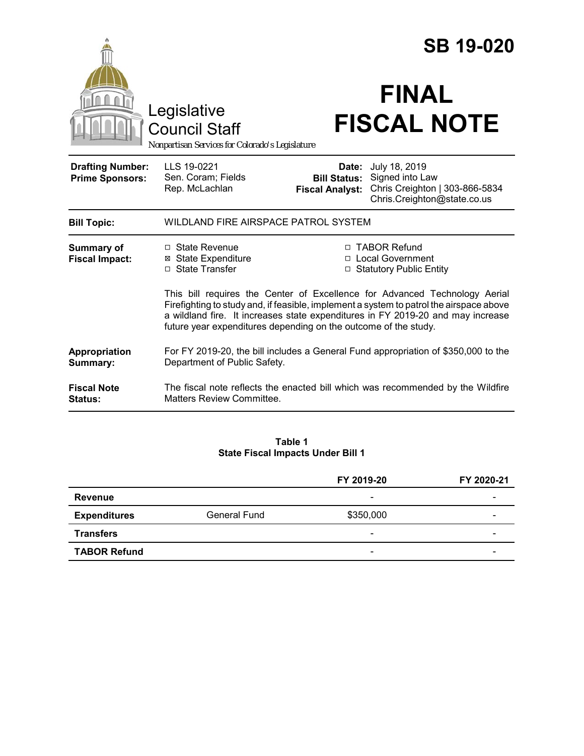|                                                   |                                                                                                                                                                                                                                               |                                               | <b>SB 19-020</b>                                                                                                                                |  |
|---------------------------------------------------|-----------------------------------------------------------------------------------------------------------------------------------------------------------------------------------------------------------------------------------------------|-----------------------------------------------|-------------------------------------------------------------------------------------------------------------------------------------------------|--|
|                                                   | Legislative<br><b>Council Staff</b><br>Nonpartisan Services for Colorado's Legislature                                                                                                                                                        |                                               | <b>FINAL</b><br><b>FISCAL NOTE</b>                                                                                                              |  |
| <b>Drafting Number:</b><br><b>Prime Sponsors:</b> | LLS 19-0221<br>Sen. Coram; Fields<br>Rep. McLachlan                                                                                                                                                                                           | <b>Bill Status:</b><br><b>Fiscal Analyst:</b> | Date: July 18, 2019<br>Signed into Law<br>Chris Creighton   303-866-5834<br>Chris.Creighton@state.co.us                                         |  |
| <b>Bill Topic:</b>                                | WILDLAND FIRE AIRSPACE PATROL SYSTEM                                                                                                                                                                                                          |                                               |                                                                                                                                                 |  |
| <b>Summary of</b><br><b>Fiscal Impact:</b>        | $\Box$ State Revenue<br><b>⊠ State Expenditure</b><br>□ State Transfer                                                                                                                                                                        |                                               | □ TABOR Refund<br>□ Local Government<br>□ Statutory Public Entity<br>This bill requires the Center of Excellence for Advanced Technology Aerial |  |
|                                                   | Firefighting to study and, if feasible, implement a system to patrol the airspace above<br>a wildland fire. It increases state expenditures in FY 2019-20 and may increase<br>future year expenditures depending on the outcome of the study. |                                               |                                                                                                                                                 |  |
| Appropriation<br>Summary:                         | For FY 2019-20, the bill includes a General Fund appropriation of \$350,000 to the<br>Department of Public Safety.                                                                                                                            |                                               |                                                                                                                                                 |  |
| <b>Fiscal Note</b><br><b>Status:</b>              | The fiscal note reflects the enacted bill which was recommended by the Wildfire<br>Matters Review Committee.                                                                                                                                  |                                               |                                                                                                                                                 |  |

#### **Table 1 State Fiscal Impacts Under Bill 1**

|                     |              | FY 2019-20               | FY 2020-21 |
|---------------------|--------------|--------------------------|------------|
| Revenue             |              | $\overline{\phantom{a}}$ |            |
| <b>Expenditures</b> | General Fund | \$350,000                | -          |
| <b>Transfers</b>    |              | $\overline{\phantom{0}}$ |            |
| <b>TABOR Refund</b> |              | $\overline{\phantom{a}}$ |            |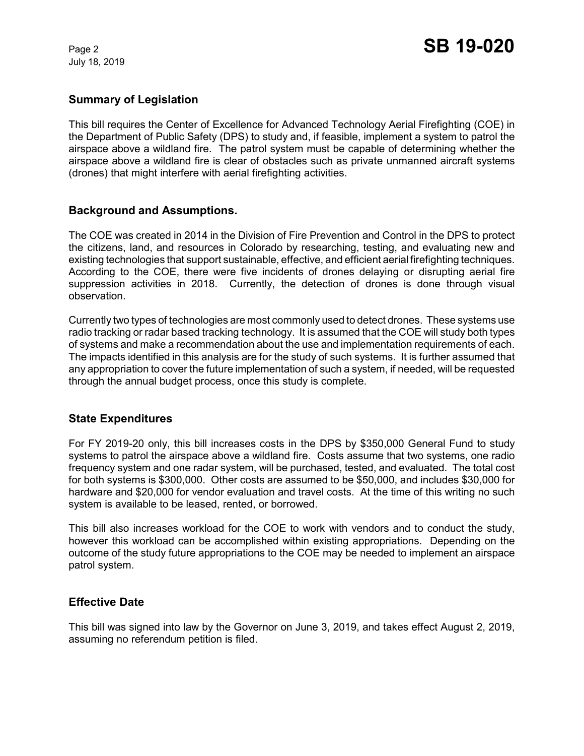July 18, 2019

### **Summary of Legislation**

This bill requires the Center of Excellence for Advanced Technology Aerial Firefighting (COE) in the Department of Public Safety (DPS) to study and, if feasible, implement a system to patrol the airspace above a wildland fire. The patrol system must be capable of determining whether the airspace above a wildland fire is clear of obstacles such as private unmanned aircraft systems (drones) that might interfere with aerial firefighting activities.

#### **Background and Assumptions.**

The COE was created in 2014 in the Division of Fire Prevention and Control in the DPS to protect the citizens, land, and resources in Colorado by researching, testing, and evaluating new and existing technologies that support sustainable, effective, and efficient aerial firefighting techniques. According to the COE, there were five incidents of drones delaying or disrupting aerial fire suppression activities in 2018. Currently, the detection of drones is done through visual observation.

Currently two types of technologies are most commonly used to detect drones. These systems use radio tracking or radar based tracking technology. It is assumed that the COE will study both types of systems and make a recommendation about the use and implementation requirements of each. The impacts identified in this analysis are for the study of such systems. It is further assumed that any appropriation to cover the future implementation of such a system, if needed, will be requested through the annual budget process, once this study is complete.

#### **State Expenditures**

For FY 2019-20 only, this bill increases costs in the DPS by \$350,000 General Fund to study systems to patrol the airspace above a wildland fire. Costs assume that two systems, one radio frequency system and one radar system, will be purchased, tested, and evaluated. The total cost for both systems is \$300,000. Other costs are assumed to be \$50,000, and includes \$30,000 for hardware and \$20,000 for vendor evaluation and travel costs. At the time of this writing no such system is available to be leased, rented, or borrowed.

This bill also increases workload for the COE to work with vendors and to conduct the study, however this workload can be accomplished within existing appropriations. Depending on the outcome of the study future appropriations to the COE may be needed to implement an airspace patrol system.

#### **Effective Date**

This bill was signed into law by the Governor on June 3, 2019, and takes effect August 2, 2019, assuming no referendum petition is filed.